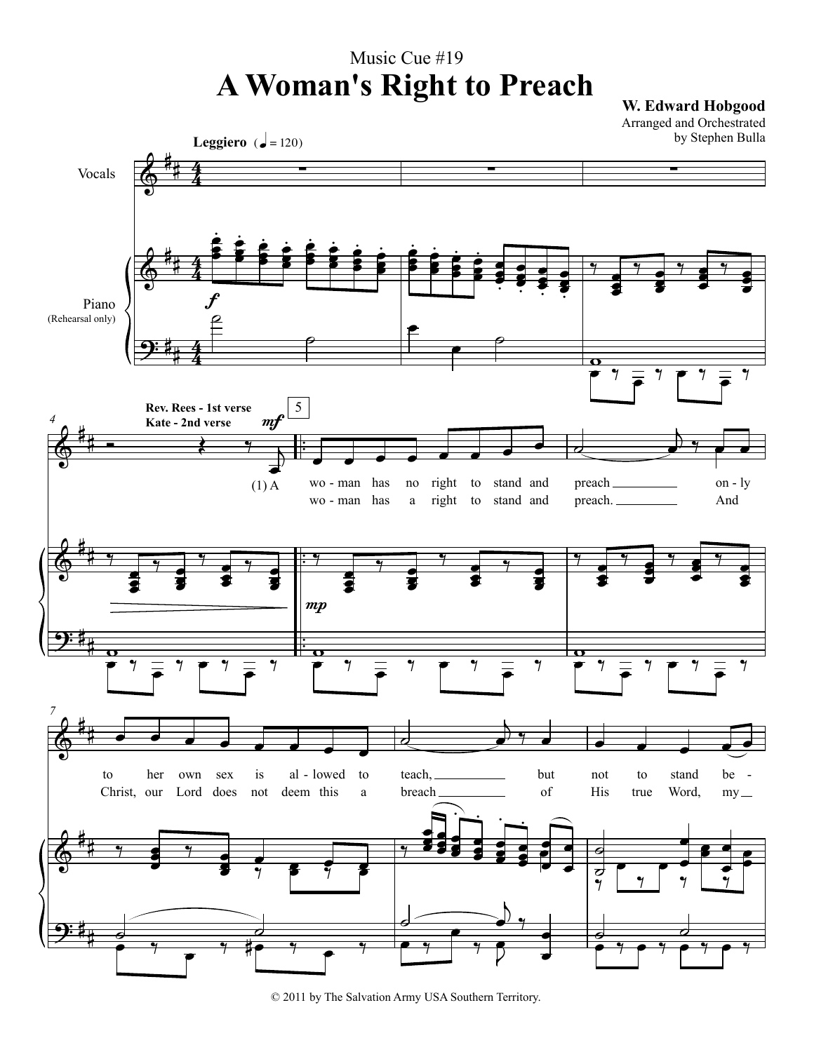## Music Cue #19 **A Woman's Right to Preach W. Edward Hobgood**

Arranged and Orchestrated by Stephen Bulla



© 2011 by The Salvation Army USA Southern Territory.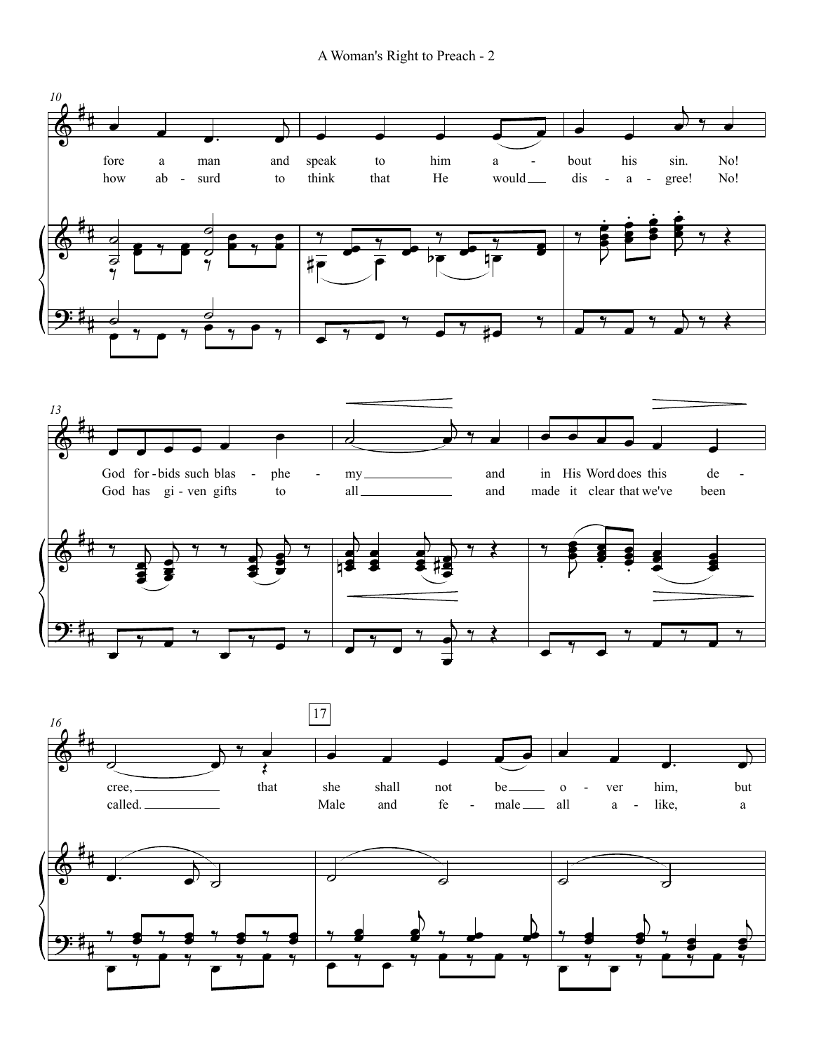A Woman's Right to Preach - 2

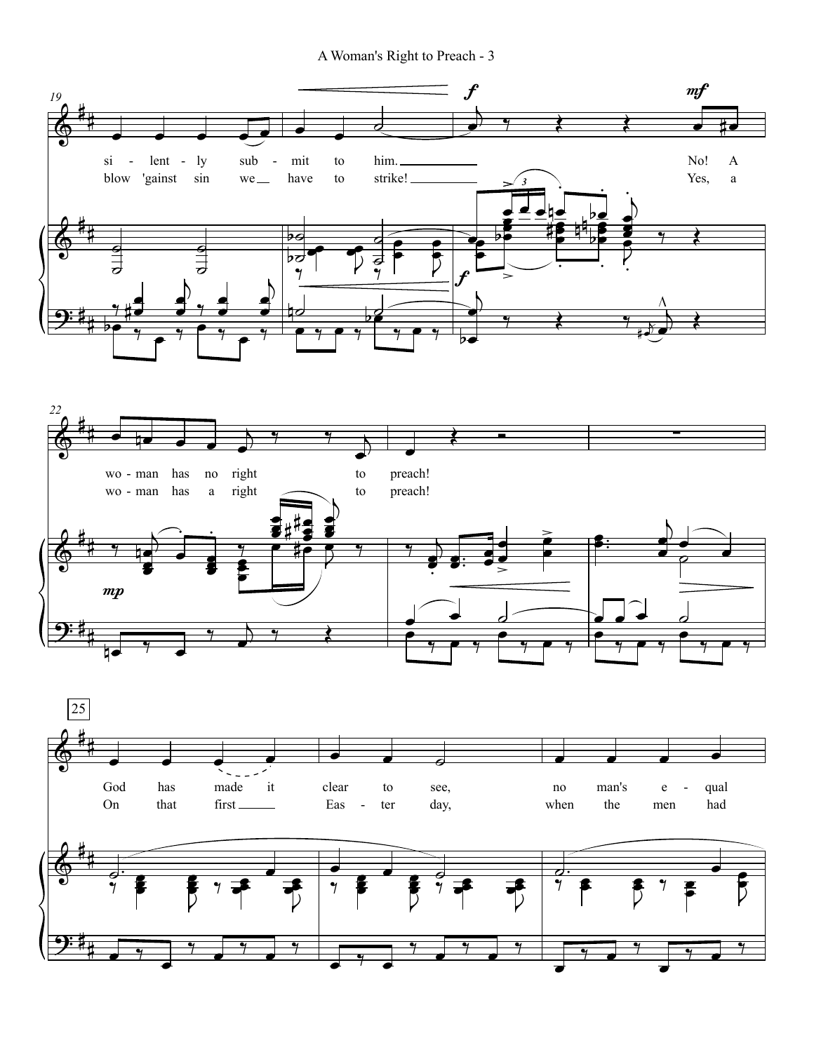A Woman's Right to Preach - 3





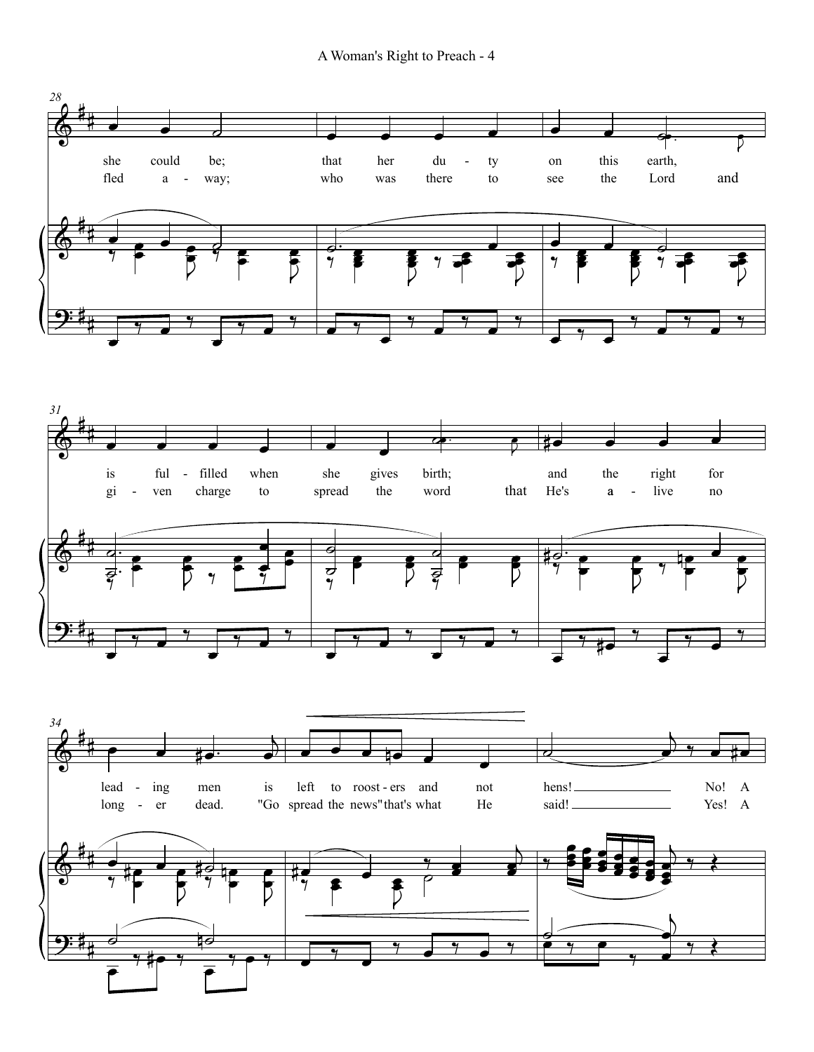A Woman's Right to Preach - 4

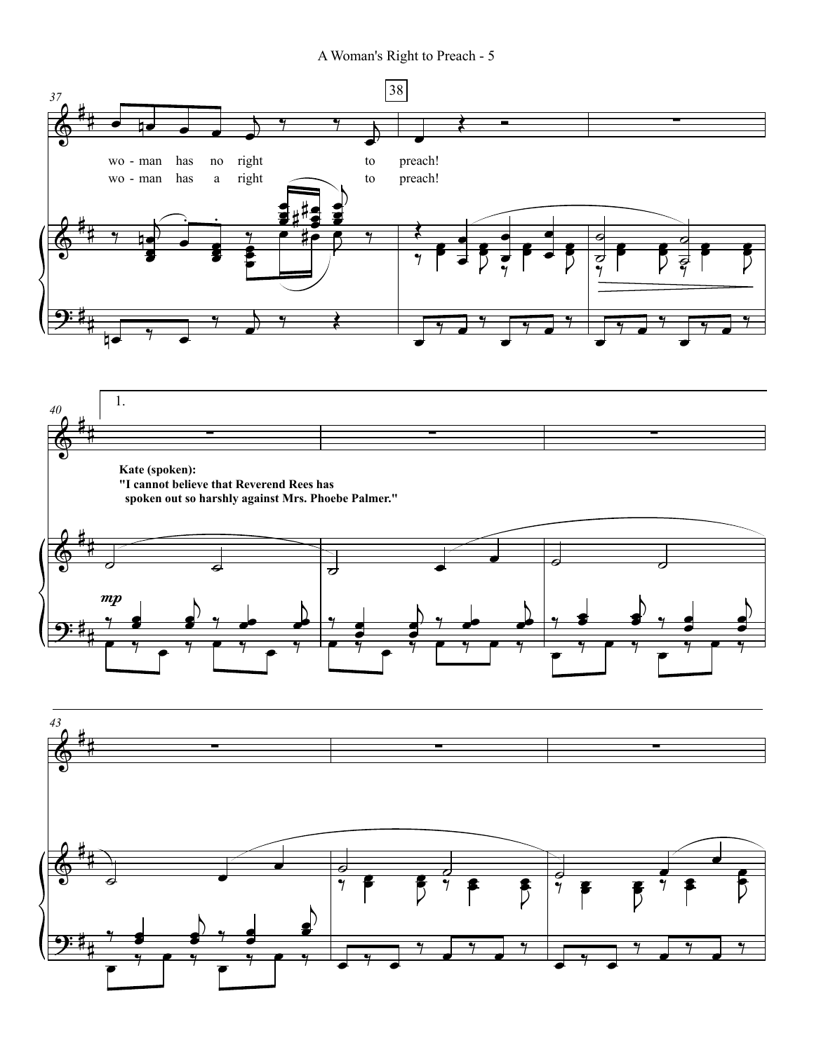A Woman's Right to Preach - 5





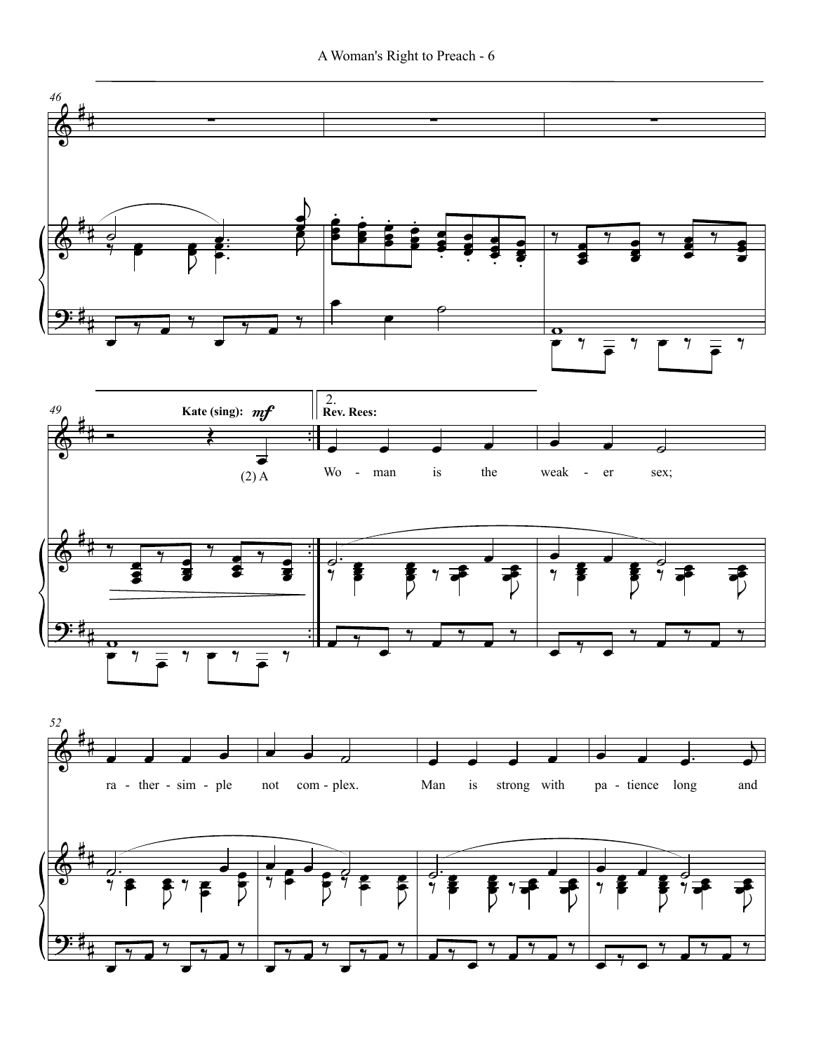

#

 $\overline{\phantom{a}}$ 

 $\frac{1}{\sqrt{2}}$ 

 $\overline{\phantom{0}}$ 

 $\frac{1}{\sqrt{2}}$ 

 $\overline{\phantom{a}}$ 

 $\frac{1}{\sqrt{2}}$ 

œ

 $\frac{1}{\sqrt{2}}$ 

 $\frac{1}{2}$ 

œ

‰ œ ‰ œ ‰

 $\overline{\cdot}$  ,

‰ œ ‰ œ ‰

A Woman's Right to Preach - 6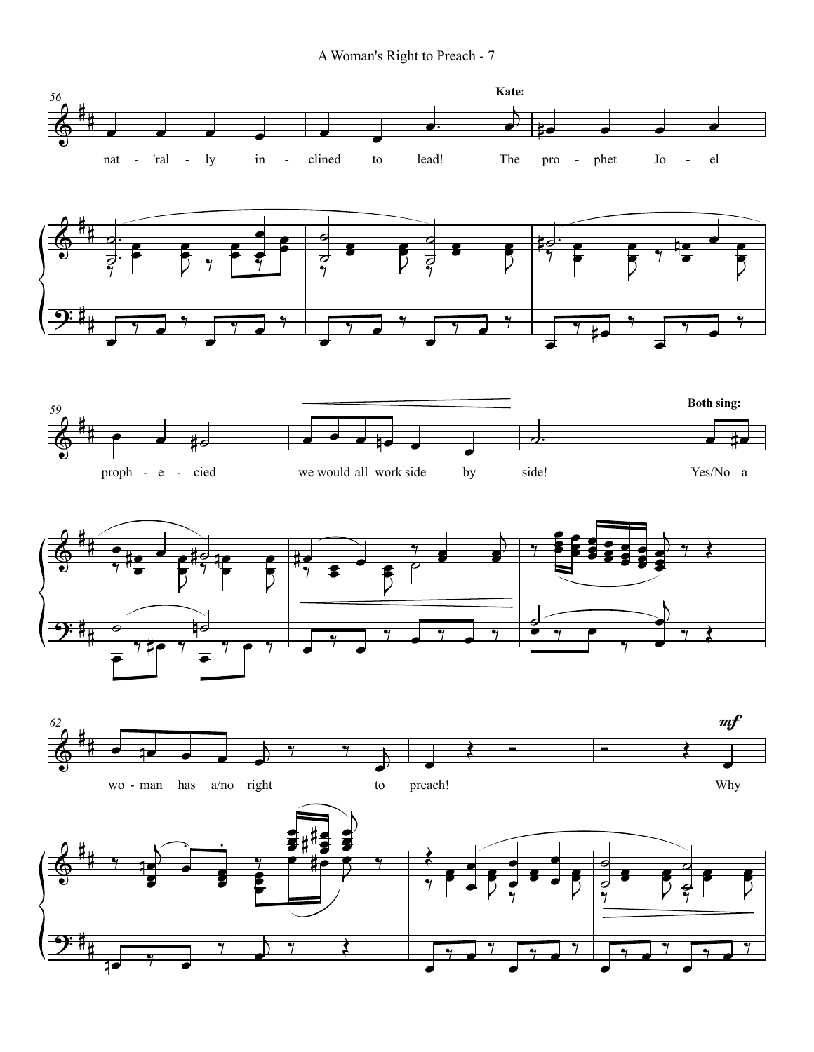A Woman's Right to Preach - 7

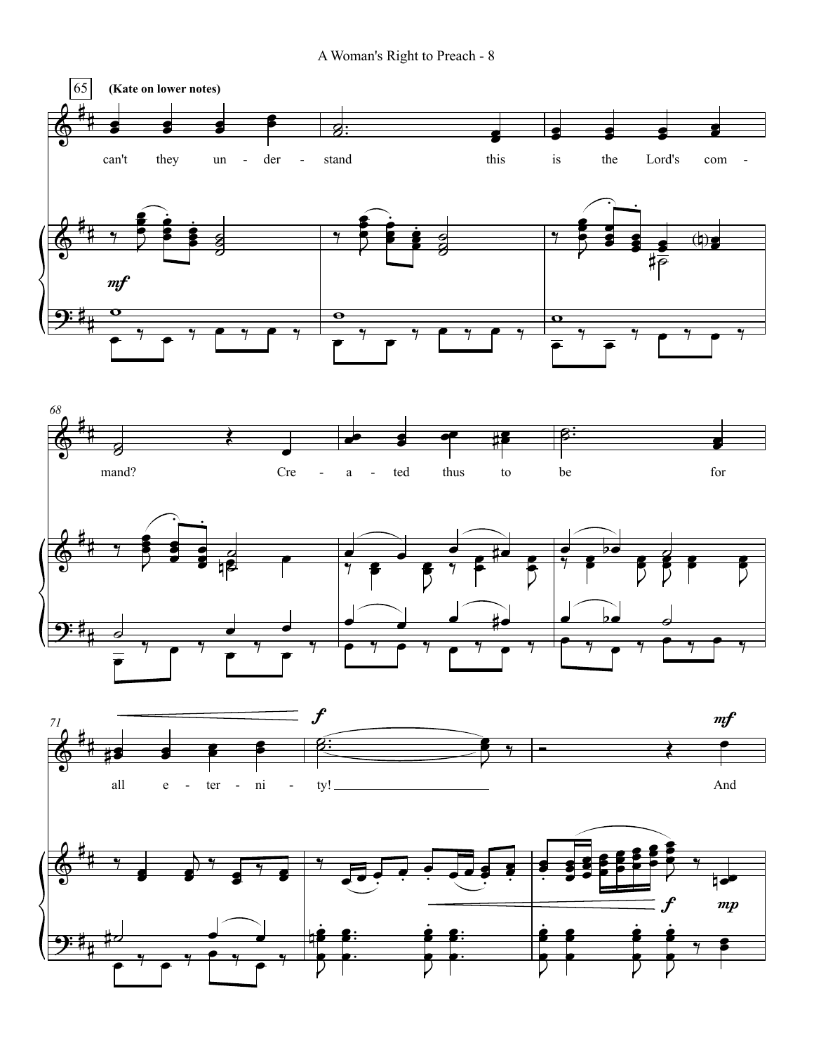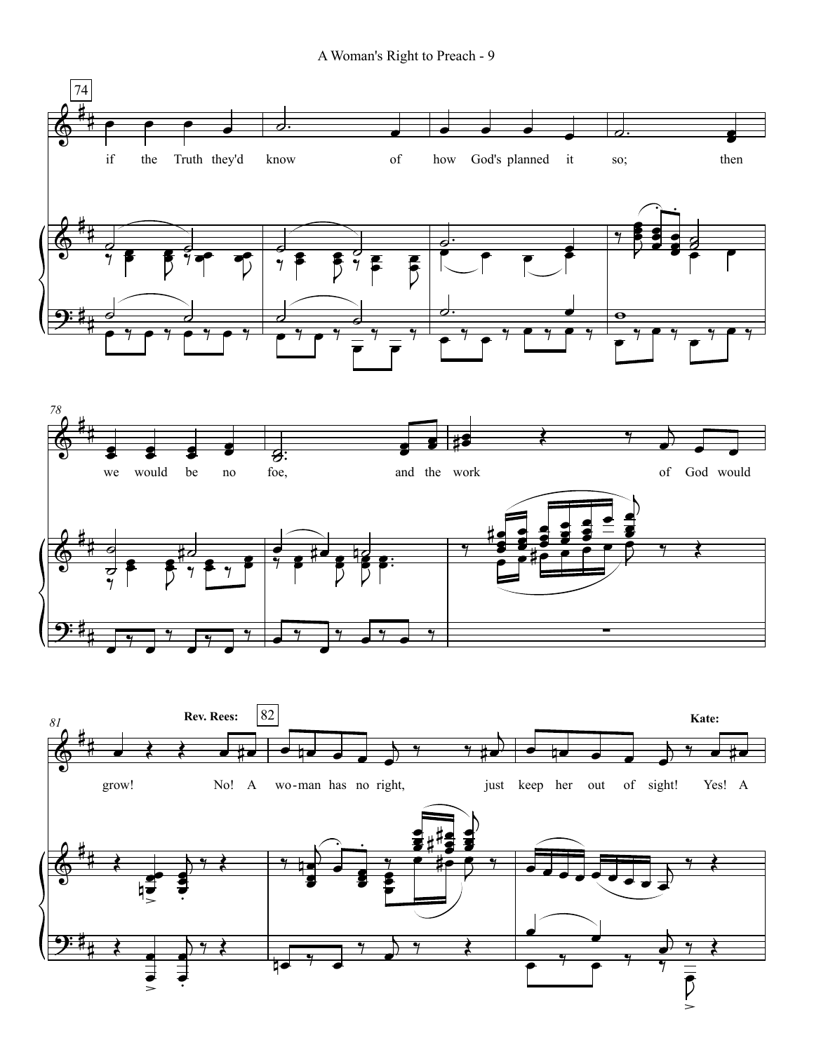